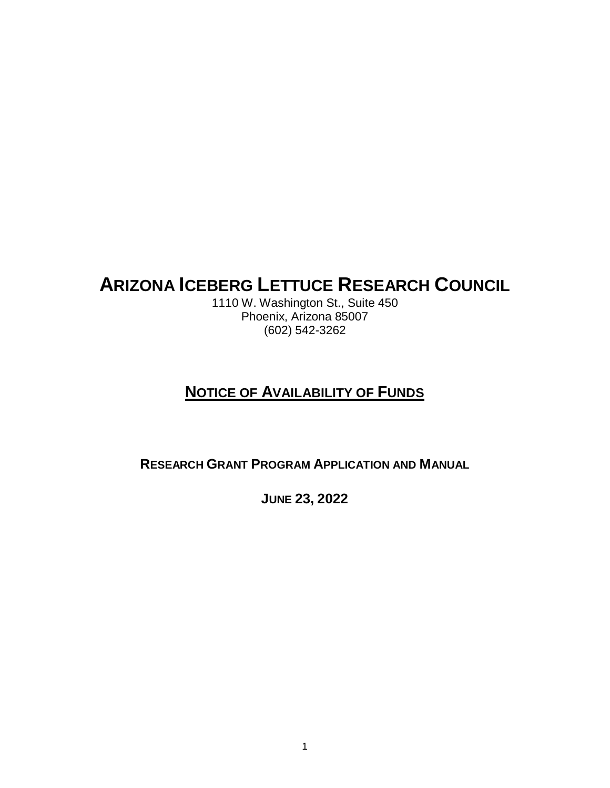# **ARIZONA ICEBERG LETTUCE RESEARCH COUNCIL**

1110 W. Washington St., Suite 450 Phoenix, Arizona 85007 (602) 542-3262

# **NOTICE OF AVAILABILITY OF FUNDS**

**RESEARCH GRANT PROGRAM APPLICATION AND MANUAL**

**JUNE 23, 2022**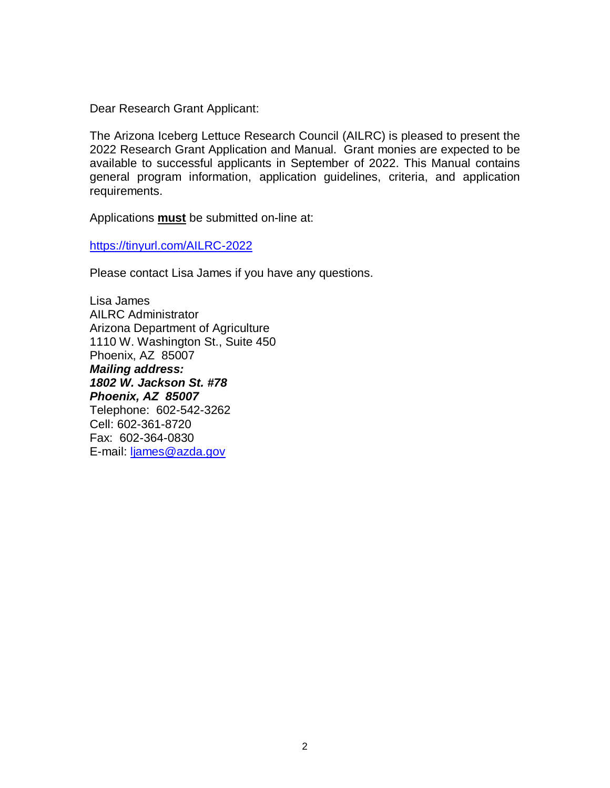Dear Research Grant Applicant:

The Arizona Iceberg Lettuce Research Council (AILRC) is pleased to present the 2022 Research Grant Application and Manual. Grant monies are expected to be available to successful applicants in September of 2022. This Manual contains general program information, application guidelines, criteria, and application requirements.

Applications **must** be submitted on-line at:

<https://tinyurl.com/AILRC-2022>

Please contact Lisa James if you have any questions.

Lisa James AILRC Administrator Arizona Department of Agriculture 1110 W. Washington St., Suite 450 Phoenix, AZ 85007 *Mailing address: 1802 W. Jackson St. #78 Phoenix, AZ 85007* Telephone: 602-542-3262 Cell: 602-361-8720 Fax: 602-364-0830 E-mail: [ljames@azda.gov](mailto:ljames@azda.gov)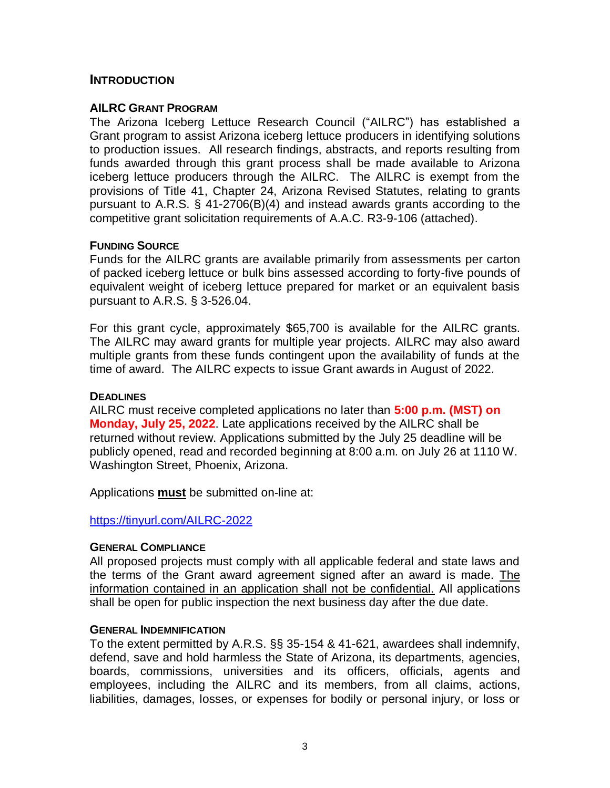#### **INTRODUCTION**

#### **AILRC GRANT PROGRAM**

The Arizona Iceberg Lettuce Research Council ("AILRC") has established a Grant program to assist Arizona iceberg lettuce producers in identifying solutions to production issues. All research findings, abstracts, and reports resulting from funds awarded through this grant process shall be made available to Arizona iceberg lettuce producers through the AILRC. The AILRC is exempt from the provisions of Title 41, Chapter 24, Arizona Revised Statutes, relating to grants pursuant to A.R.S. § 41-2706(B)(4) and instead awards grants according to the competitive grant solicitation requirements of A.A.C. R3-9-106 (attached).

#### **FUNDING SOURCE**

Funds for the AILRC grants are available primarily from assessments per carton of packed iceberg lettuce or bulk bins assessed according to forty-five pounds of equivalent weight of iceberg lettuce prepared for market or an equivalent basis pursuant to A.R.S. § 3-526.04.

For this grant cycle, approximately \$65,700 is available for the AILRC grants. The AILRC may award grants for multiple year projects. AILRC may also award multiple grants from these funds contingent upon the availability of funds at the time of award. The AILRC expects to issue Grant awards in August of 2022.

#### **DEADLINES**

AILRC must receive completed applications no later than **5:00 p.m. (MST) on Monday, July 25, 2022**. Late applications received by the AILRC shall be returned without review. Applications submitted by the July 25 deadline will be publicly opened, read and recorded beginning at 8:00 a.m. on July 26 at 1110 W. Washington Street, Phoenix, Arizona.

Applications **must** be submitted on-line at:

#### <https://tinyurl.com/AILRC-2022>

#### **GENERAL COMPLIANCE**

All proposed projects must comply with all applicable federal and state laws and the terms of the Grant award agreement signed after an award is made. The information contained in an application shall not be confidential. All applications shall be open for public inspection the next business day after the due date.

#### **GENERAL INDEMNIFICATION**

To the extent permitted by A.R.S. §§ 35-154 & 41-621, awardees shall indemnify, defend, save and hold harmless the State of Arizona, its departments, agencies, boards, commissions, universities and its officers, officials, agents and employees, including the AILRC and its members, from all claims, actions, liabilities, damages, losses, or expenses for bodily or personal injury, or loss or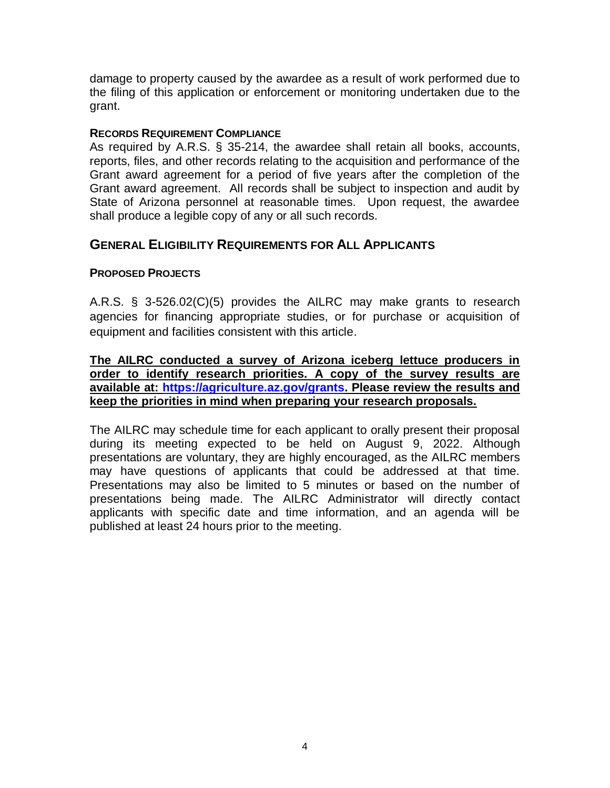damage to property caused by the awardee as a result of work performed due to the filing of this application or enforcement or monitoring undertaken due to the grant.

#### **RECORDS REQUIREMENT COMPLIANCE**

As required by A.R.S. § 35-214, the awardee shall retain all books, accounts, reports, files, and other records relating to the acquisition and performance of the Grant award agreement for a period of five years after the completion of the Grant award agreement. All records shall be subject to inspection and audit by State of Arizona personnel at reasonable times. Upon request, the awardee shall produce a legible copy of any or all such records.

# **GENERAL ELIGIBILITY REQUIREMENTS FOR ALL APPLICANTS**

## **PROPOSED PROJECTS**

A.R.S. § 3-526.02(C)(5) provides the AILRC may make grants to research agencies for financing appropriate studies, or for purchase or acquisition of equipment and facilities consistent with this article.

#### **The AILRC conducted a survey of Arizona iceberg lettuce producers in order to identify research priorities. A copy of the survey results are available at: [https://agriculture.az.gov/grants.](https://agriculture.az.gov/grants) Please review the results and keep the priorities in mind when preparing your research proposals.**

The AILRC may schedule time for each applicant to orally present their proposal during its meeting expected to be held on August 9, 2022. Although presentations are voluntary, they are highly encouraged, as the AILRC members may have questions of applicants that could be addressed at that time. Presentations may also be limited to 5 minutes or based on the number of presentations being made. The AILRC Administrator will directly contact applicants with specific date and time information, and an agenda will be published at least 24 hours prior to the meeting.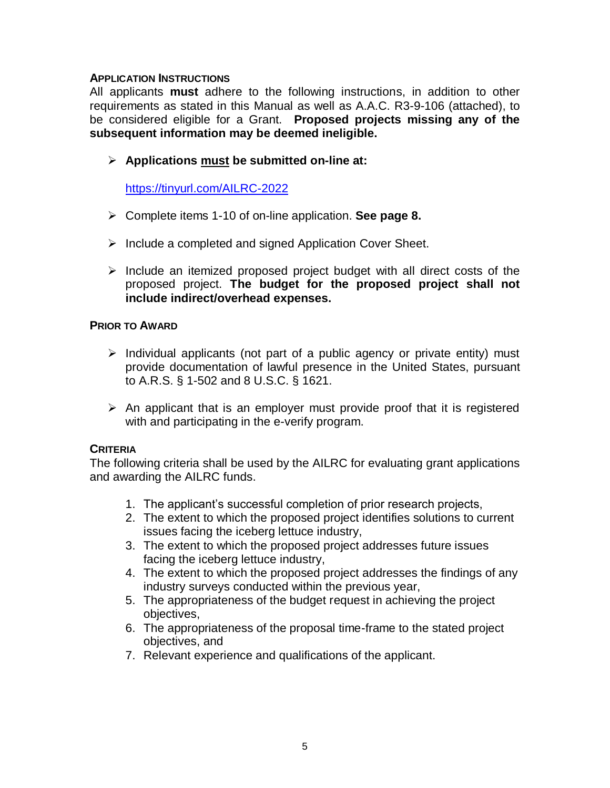#### **APPLICATION INSTRUCTIONS**

All applicants **must** adhere to the following instructions, in addition to other requirements as stated in this Manual as well as A.A.C. R3-9-106 (attached), to be considered eligible for a Grant. **Proposed projects missing any of the subsequent information may be deemed ineligible.**

**Applications must be submitted on-line at:** 

<https://tinyurl.com/AILRC-2022>

- Complete items 1-10 of on-line application. **See page 8.**
- $\triangleright$  Include a completed and signed Application Cover Sheet.
- $\triangleright$  Include an itemized proposed project budget with all direct costs of the proposed project. **The budget for the proposed project shall not include indirect/overhead expenses.**

#### **PRIOR TO AWARD**

- $\triangleright$  Individual applicants (not part of a public agency or private entity) must provide documentation of lawful presence in the United States, pursuant to A.R.S. § 1-502 and 8 U.S.C. § 1621.
- $\triangleright$  An applicant that is an employer must provide proof that it is registered with and participating in the e-verify program.

#### **CRITERIA**

The following criteria shall be used by the AILRC for evaluating grant applications and awarding the AILRC funds.

- 1. The applicant's successful completion of prior research projects,
- 2. The extent to which the proposed project identifies solutions to current issues facing the iceberg lettuce industry,
- 3. The extent to which the proposed project addresses future issues facing the iceberg lettuce industry,
- 4. The extent to which the proposed project addresses the findings of any industry surveys conducted within the previous year,
- 5. The appropriateness of the budget request in achieving the project objectives,
- 6. The appropriateness of the proposal time-frame to the stated project objectives, and
- 7. Relevant experience and qualifications of the applicant.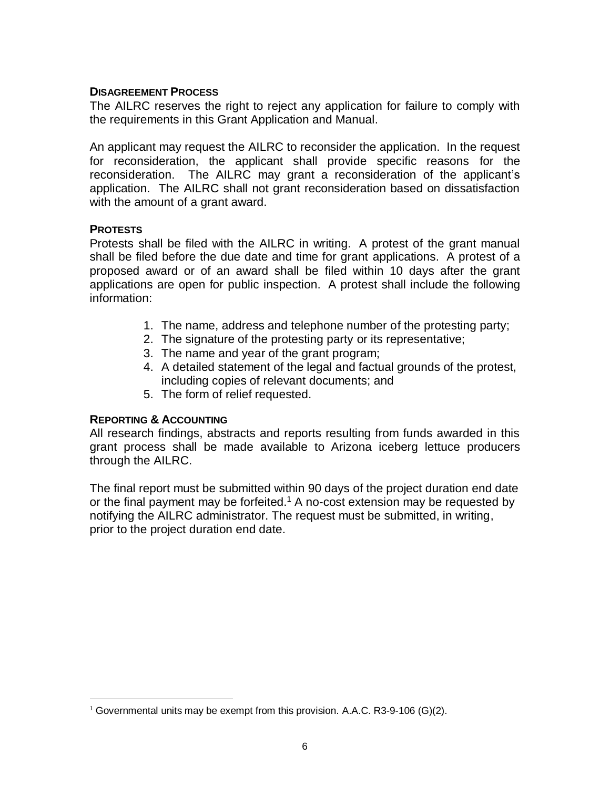#### **DISAGREEMENT PROCESS**

The AILRC reserves the right to reject any application for failure to comply with the requirements in this Grant Application and Manual.

An applicant may request the AILRC to reconsider the application. In the request for reconsideration, the applicant shall provide specific reasons for the reconsideration. The AILRC may grant a reconsideration of the applicant's application. The AILRC shall not grant reconsideration based on dissatisfaction with the amount of a grant award.

## **PROTESTS**

 $\overline{a}$ 

Protests shall be filed with the AILRC in writing. A protest of the grant manual shall be filed before the due date and time for grant applications. A protest of a proposed award or of an award shall be filed within 10 days after the grant applications are open for public inspection. A protest shall include the following information:

- 1. The name, address and telephone number of the protesting party;
- 2. The signature of the protesting party or its representative;
- 3. The name and year of the grant program;
- 4. A detailed statement of the legal and factual grounds of the protest, including copies of relevant documents; and
- 5. The form of relief requested.

#### **REPORTING & ACCOUNTING**

All research findings, abstracts and reports resulting from funds awarded in this grant process shall be made available to Arizona iceberg lettuce producers through the AILRC.

The final report must be submitted within 90 days of the project duration end date or the final payment may be forfeited.<sup>1</sup> A no-cost extension may be requested by notifying the AILRC administrator. The request must be submitted, in writing, prior to the project duration end date.

<sup>&</sup>lt;sup>1</sup> Governmental units may be exempt from this provision. A.A.C. R3-9-106 (G)(2).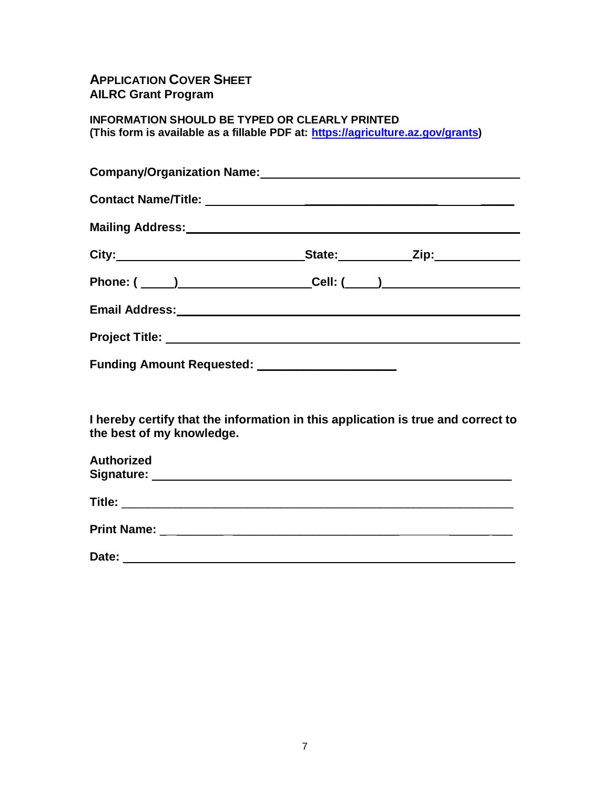# **APPLICATION COVER SHEET AILRC Grant Program**

**INFORMATION SHOULD BE TYPED OR CLEARLY PRINTED (This form is available as a fillable PDF at: [https://agriculture.az.gov/grants\)](https://agriculture.az.gov/grants)**

|                           | City:___________________________________State:______________Zip:________________ |  |
|---------------------------|----------------------------------------------------------------------------------|--|
|                           |                                                                                  |  |
|                           |                                                                                  |  |
|                           |                                                                                  |  |
|                           | Funding Amount Requested: _____________________                                  |  |
|                           |                                                                                  |  |
| the best of my knowledge. | I hereby certify that the information in this application is true and correct to |  |
| Authorized                |                                                                                  |  |
|                           |                                                                                  |  |

| <b>Print Name:</b> |  |
|--------------------|--|
|                    |  |

| Date: |  |
|-------|--|
|       |  |
|       |  |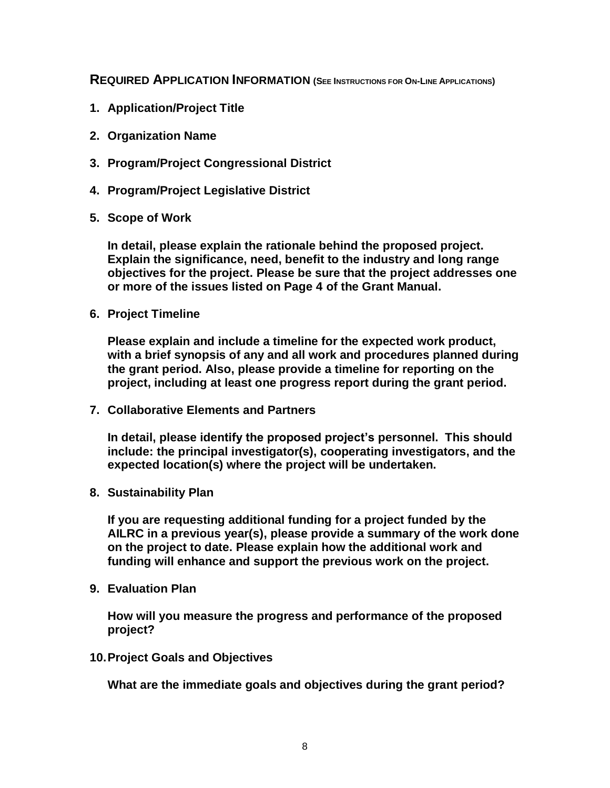**REQUIRED APPLICATION INFORMATION (SEE INSTRUCTIONS FOR ON-LINE APPLICATIONS)**

- **1. Application/Project Title**
- **2. Organization Name**
- **3. Program/Project Congressional District**
- **4. Program/Project Legislative District**
- **5. Scope of Work**

**In detail, please explain the rationale behind the proposed project. Explain the significance, need, benefit to the industry and long range objectives for the project. Please be sure that the project addresses one or more of the issues listed on Page 4 of the Grant Manual.**

**6. Project Timeline**

**Please explain and include a timeline for the expected work product, with a brief synopsis of any and all work and procedures planned during the grant period. Also, please provide a timeline for reporting on the project, including at least one progress report during the grant period.**

**7. Collaborative Elements and Partners**

**In detail, please identify the proposed project's personnel. This should include: the principal investigator(s), cooperating investigators, and the expected location(s) where the project will be undertaken.**

**8. Sustainability Plan**

**If you are requesting additional funding for a project funded by the AILRC in a previous year(s), please provide a summary of the work done on the project to date. Please explain how the additional work and funding will enhance and support the previous work on the project.**

**9. Evaluation Plan**

**How will you measure the progress and performance of the proposed project?**

**10.Project Goals and Objectives**

**What are the immediate goals and objectives during the grant period?**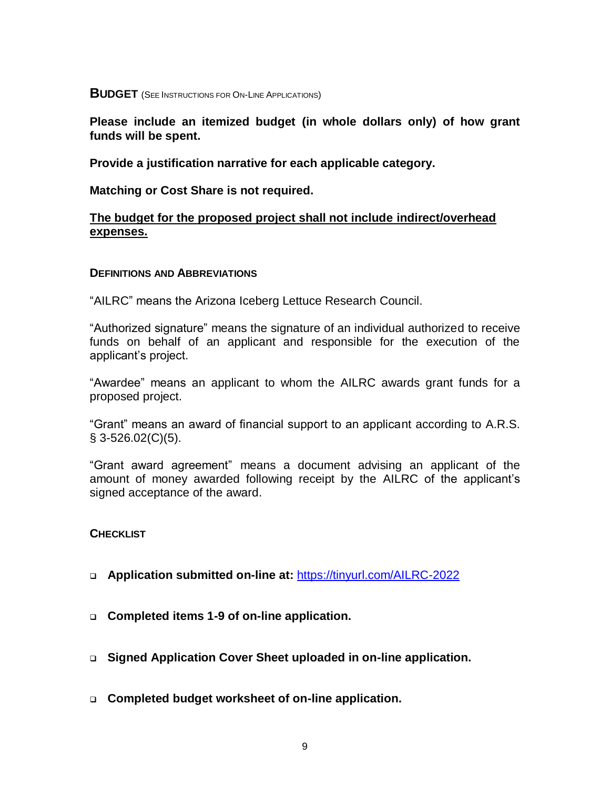**BUDGET** (SEE INSTRUCTIONS FOR ON-LINE APPLICATIONS)

**Please include an itemized budget (in whole dollars only) of how grant funds will be spent.** 

**Provide a justification narrative for each applicable category.**

**Matching or Cost Share is not required.**

#### **The budget for the proposed project shall not include indirect/overhead expenses.**

#### **DEFINITIONS AND ABBREVIATIONS**

"AILRC" means the Arizona Iceberg Lettuce Research Council.

"Authorized signature" means the signature of an individual authorized to receive funds on behalf of an applicant and responsible for the execution of the applicant's project.

"Awardee" means an applicant to whom the AILRC awards grant funds for a proposed project.

"Grant" means an award of financial support to an applicant according to A.R.S.  $§$  3-526.02(C)(5).

"Grant award agreement" means a document advising an applicant of the amount of money awarded following receipt by the AILRC of the applicant's signed acceptance of the award.

**CHECKLIST**

- **Application submitted on-line at:** <https://tinyurl.com/AILRC-2022>
- **Completed items 1-9 of on-line application.**
- **Signed Application Cover Sheet uploaded in on-line application.**
- **Completed budget worksheet of on-line application.**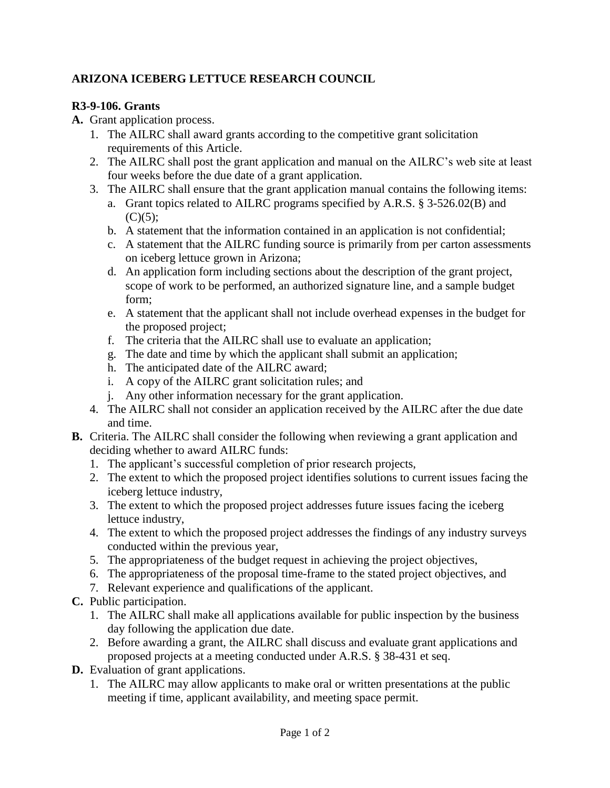# **ARIZONA ICEBERG LETTUCE RESEARCH COUNCIL**

# **R3-9-106. Grants**

- **A.** Grant application process.
	- 1. The AILRC shall award grants according to the competitive grant solicitation requirements of this Article.
	- 2. The AILRC shall post the grant application and manual on the AILRC's web site at least four weeks before the due date of a grant application.
	- 3. The AILRC shall ensure that the grant application manual contains the following items:
		- a. Grant topics related to AILRC programs specified by A.R.S. § 3-526.02(B) and  $(C)(5);$
		- b. A statement that the information contained in an application is not confidential;
		- c. A statement that the AILRC funding source is primarily from per carton assessments on iceberg lettuce grown in Arizona;
		- d. An application form including sections about the description of the grant project, scope of work to be performed, an authorized signature line, and a sample budget form;
		- e. A statement that the applicant shall not include overhead expenses in the budget for the proposed project;
		- f. The criteria that the AILRC shall use to evaluate an application;
		- g. The date and time by which the applicant shall submit an application;
		- h. The anticipated date of the AILRC award;
		- i. A copy of the AILRC grant solicitation rules; and
		- j. Any other information necessary for the grant application.
	- 4. The AILRC shall not consider an application received by the AILRC after the due date and time.
- **B.** Criteria. The AILRC shall consider the following when reviewing a grant application and deciding whether to award AILRC funds:
	- 1. The applicant's successful completion of prior research projects,
	- 2. The extent to which the proposed project identifies solutions to current issues facing the iceberg lettuce industry,
	- 3. The extent to which the proposed project addresses future issues facing the iceberg lettuce industry,
	- 4. The extent to which the proposed project addresses the findings of any industry surveys conducted within the previous year,
	- 5. The appropriateness of the budget request in achieving the project objectives,
	- 6. The appropriateness of the proposal time-frame to the stated project objectives, and
	- 7. Relevant experience and qualifications of the applicant.
- **C.** Public participation.
	- 1. The AILRC shall make all applications available for public inspection by the business day following the application due date.
	- 2. Before awarding a grant, the AILRC shall discuss and evaluate grant applications and proposed projects at a meeting conducted under A.R.S. § 38-431 et seq.
- **D.** Evaluation of grant applications.
	- 1. The AILRC may allow applicants to make oral or written presentations at the public meeting if time, applicant availability, and meeting space permit.